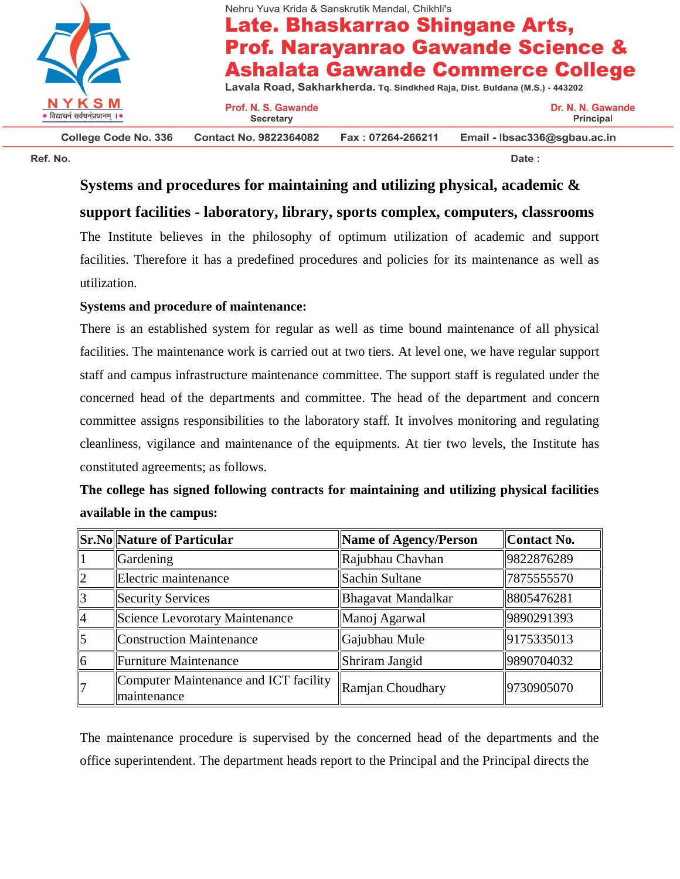

**College Code No. 336** 

Nehru Yuva Krida & Sanskrutik Mandal, Chikhli's

# Late. Bhaskarrao Shingane Arts, **Prof. Narayanrao Gawande Science & Ashalata Gawande Commerce College**

Lavala Road, Sakharkherda. Tq. Sindkhed Raja, Dist. Buldana (M.S.) - 443202

Prof. N. S. Gawande **Secretary** 

Dr. N. N. Gawande Principal

Ref. No.

**Contact No. 9822364082** Fax: 07264-266211 Email - Ibsac336@sgbau.ac.in

Date:

## **Systems and procedures for maintaining and utilizing physical, academic & support facilities - laboratory, library, sports complex, computers, classrooms**

The Institute believes in the philosophy of optimum utilization of academic and support facilities. Therefore it has a predefined procedures and policies for its maintenance as well as utilization.

### **Systems and procedure of maintenance:**

There is an established system for regular as well as time bound maintenance of all physical facilities. The maintenance work is carried out at two tiers. At level one, we have regular support staff and campus infrastructure maintenance committee. The support staff is regulated under the concerned head of the departments and committee. The head of the department and concern committee assigns responsibilities to the laboratory staff. It involves monitoring and regulating cleanliness, vigilance and maintenance of the equipments. At tier two levels, the Institute has constituted agreements; as follows.

## **The college has signed following contracts for maintaining and utilizing physical facilities available in the campus:**

|                | <b>Sr.No</b>   Nature of Particular                   | Name of Agency/Person     | Contact No. |
|----------------|-------------------------------------------------------|---------------------------|-------------|
|                | Gardening                                             | Rajubhau Chavhan          | 9822876289  |
| $\overline{2}$ | Electric maintenance                                  | Sachin Sultane            | 7875555570  |
| $\overline{3}$ | Security Services                                     | <b>Bhagavat Mandalkar</b> | 8805476281  |
|                | Science Levorotary Maintenance                        | Manoj Agarwal             | 9890291393  |
| 5              | <b>Construction Maintenance</b>                       | Gajubhau Mule             | 9175335013  |
|                | Furniture Maintenance                                 | Shriram Jangid            | 9890704032  |
|                | Computer Maintenance and ICT facility<br>Imaintenance | Ramjan Choudhary          | 9730905070  |

The maintenance procedure is supervised by the concerned head of the departments and the office superintendent. The department heads report to the Principal and the Principal directs the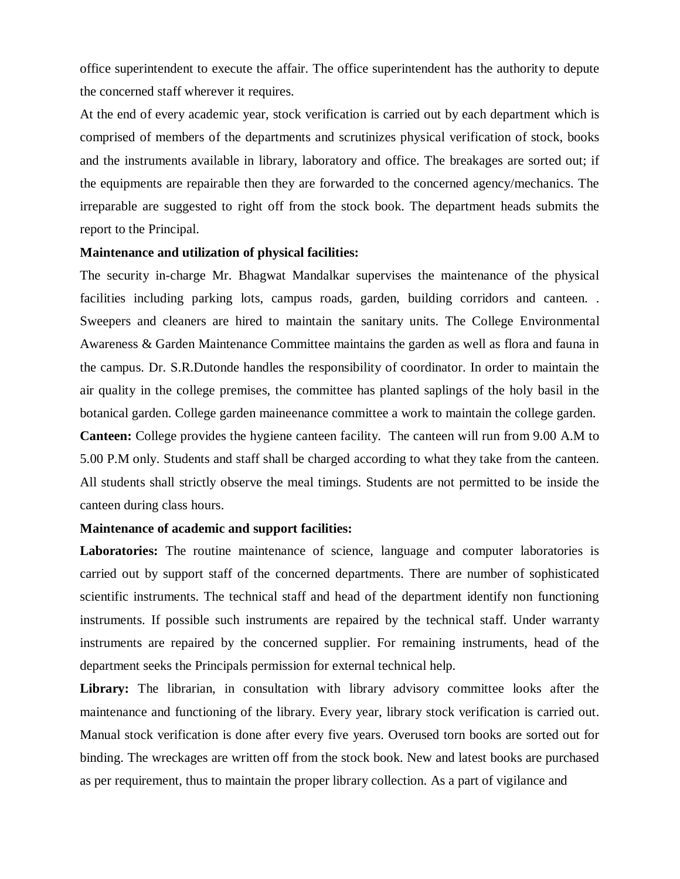office superintendent to execute the affair. The office superintendent has the authority to depute the concerned staff wherever it requires.

At the end of every academic year, stock verification is carried out by each department which is comprised of members of the departments and scrutinizes physical verification of stock, books and the instruments available in library, laboratory and office. The breakages are sorted out; if the equipments are repairable then they are forwarded to the concerned agency/mechanics. The irreparable are suggested to right off from the stock book. The department heads submits the report to the Principal.

#### **Maintenance and utilization of physical facilities:**

The security in-charge Mr. Bhagwat Mandalkar supervises the maintenance of the physical facilities including parking lots, campus roads, garden, building corridors and canteen. . Sweepers and cleaners are hired to maintain the sanitary units. The College Environmental Awareness & Garden Maintenance Committee maintains the garden as well as flora and fauna in the campus. Dr. S.R.Dutonde handles the responsibility of coordinator. In order to maintain the air quality in the college premises, the committee has planted saplings of the holy basil in the botanical garden. College garden maineenance committee a work to maintain the college garden.

**Canteen:** College provides the hygiene canteen facility. The canteen will run from 9.00 A.M to 5.00 P.M only. Students and staff shall be charged according to what they take from the canteen. All students shall strictly observe the meal timings. Students are not permitted to be inside the canteen during class hours.

### **Maintenance of academic and support facilities:**

Laboratories: The routine maintenance of science, language and computer laboratories is carried out by support staff of the concerned departments. There are number of sophisticated scientific instruments. The technical staff and head of the department identify non functioning instruments. If possible such instruments are repaired by the technical staff. Under warranty instruments are repaired by the concerned supplier. For remaining instruments, head of the department seeks the Principals permission for external technical help.

Library: The librarian, in consultation with library advisory committee looks after the maintenance and functioning of the library. Every year, library stock verification is carried out. Manual stock verification is done after every five years. Overused torn books are sorted out for binding. The wreckages are written off from the stock book. New and latest books are purchased as per requirement, thus to maintain the proper library collection. As a part of vigilance and